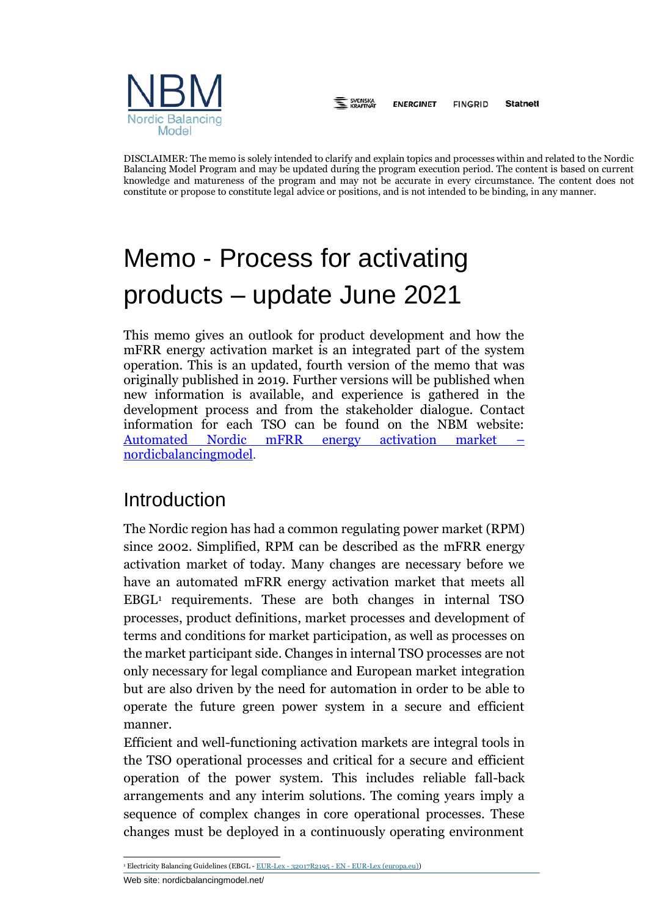

E SVENSKA **ENERGINET FINGRID Statnett** 

DISCLAIMER: The memo is solely intended to clarify and explain topics and processes within and related to the Nordic Balancing Model Program and may be updated during the program execution period. The content is based on current knowledge and matureness of the program and may not be accurate in every circumstance. The content does not constitute or propose to constitute legal advice or positions, and is not intended to be binding, in any manner.

# Memo - Process for activating products – update June 2021

This memo gives an outlook for product development and how the mFRR energy activation market is an integrated part of the system operation. This is an updated, fourth version of the memo that was originally published in 2019. Further versions will be published when new information is available, and experience is gathered in the development process and from the stakeholder dialogue. Contact information for each TSO can be found on the NBM website: Automated Nordic mFRR energy activation market [nordicbalancingmodel](https://nordicbalancingmodel.net/roadmap-and-projects/automated-nordic-mfrr-energy-activation-market/).

# Introduction

The Nordic region has had a common regulating power market (RPM) since 2002. Simplified, RPM can be described as the mFRR energy activation market of today. Many changes are necessary before we have an automated mFRR energy activation market that meets all  $EBGL<sup>1</sup>$  requirements. These are both changes in internal TSO processes, product definitions, market processes and development of terms and conditions for market participation, as well as processes on the market participant side. Changes in internal TSO processes are not only necessary for legal compliance and European market integration but are also driven by the need for automation in order to be able to operate the future green power system in a secure and efficient manner.

Efficient and well-functioning activation markets are integral tools in the TSO operational processes and critical for a secure and efficient operation of the power system. This includes reliable fall-back arrangements and any interim solutions. The coming years imply a sequence of complex changes in core operational processes. These changes must be deployed in a continuously operating environment

<sup>&</sup>lt;sup>1</sup> Electricity Balancing Guidelines [\(EBGL](https://eur-lex.europa.eu/legal-content/EN/ALL/?uri=CELEX%3A32017R2195) - EUR-Lex - 32017R2195 - EN - [EUR-Lex \(europa.eu\)\)](https://eur-lex.europa.eu/eli/reg/2017/2195/oj)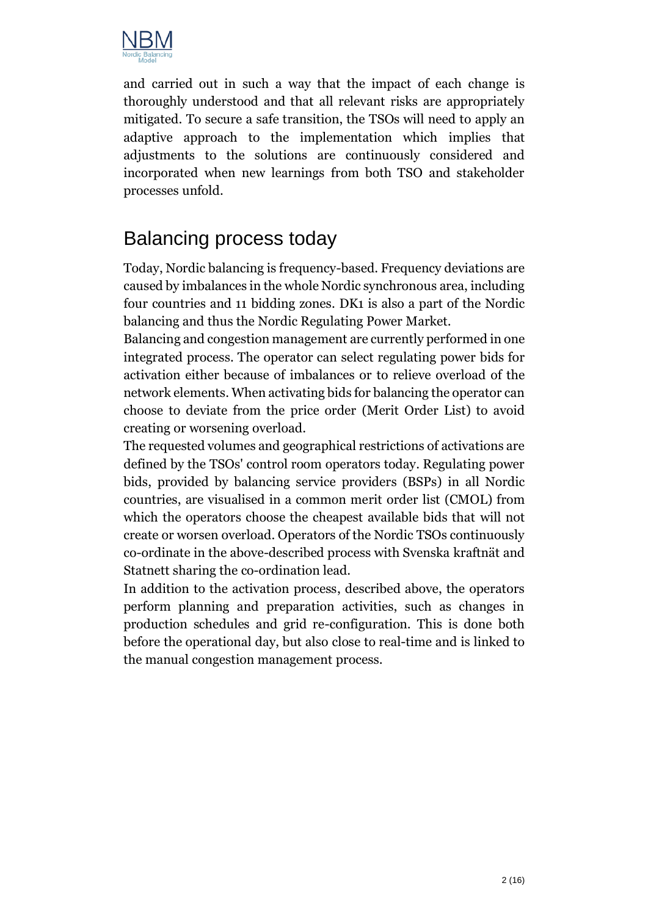

and carried out in such a way that the impact of each change is thoroughly understood and that all relevant risks are appropriately mitigated. To secure a safe transition, the TSOs will need to apply an adaptive approach to the implementation which implies that adjustments to the solutions are continuously considered and incorporated when new learnings from both TSO and stakeholder processes unfold.

# Balancing process today

Today, Nordic balancing is frequency-based. Frequency deviations are caused by imbalances in the whole Nordic synchronous area, including four countries and 11 bidding zones. DK1 is also a part of the Nordic balancing and thus the Nordic Regulating Power Market.

Balancing and congestion management are currently performed in one integrated process. The operator can select regulating power bids for activation either because of imbalances or to relieve overload of the network elements. When activating bids for balancing the operator can choose to deviate from the price order (Merit Order List) to avoid creating or worsening overload.

The requested volumes and geographical restrictions of activations are defined by the TSOs' control room operators today. Regulating power bids, provided by balancing service providers (BSPs) in all Nordic countries, are visualised in a common merit order list (CMOL) from which the operators choose the cheapest available bids that will not create or worsen overload. Operators of the Nordic TSOs continuously co-ordinate in the above-described process with Svenska kraftnät and Statnett sharing the co-ordination lead.

In addition to the activation process, described above, the operators perform planning and preparation activities, such as changes in production schedules and grid re-configuration. This is done both before the operational day, but also close to real-time and is linked to the manual congestion management process.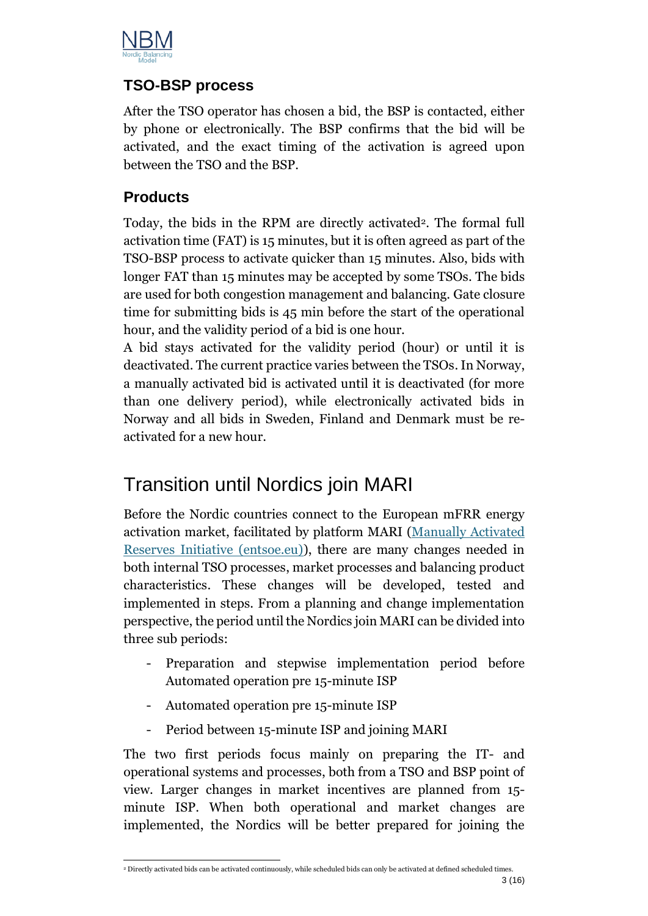

### **TSO-BSP process**

After the TSO operator has chosen a bid, the BSP is contacted, either by phone or electronically. The BSP confirms that the bid will be activated, and the exact timing of the activation is agreed upon between the TSO and the BSP.

#### **Products**

Today, the bids in the RPM are directly activated<sup>2</sup>. The formal full activation time (FAT) is 15 minutes, but it is often agreed as part of the TSO-BSP process to activate quicker than 15 minutes. Also, bids with longer FAT than 15 minutes may be accepted by some TSOs. The bids are used for both congestion management and balancing. Gate closure time for submitting bids is 45 min before the start of the operational hour, and the validity period of a bid is one hour.

A bid stays activated for the validity period (hour) or until it is deactivated. The current practice varies between the TSOs.In Norway, a manually activated bid is activated until it is deactivated (for more than one delivery period), while electronically activated bids in Norway and all bids in Sweden, Finland and Denmark must be reactivated for a new hour.

# Transition until Nordics join MARI

Before the Nordic countries connect to the European mFRR energy activation market, facilitated by platform MARI [\(Manually Activated](https://www.entsoe.eu/network_codes/eb/mari/)  [Reserves Initiative \(entsoe.eu\)\)](https://www.entsoe.eu/network_codes/eb/mari/), there are many changes needed in both internal TSO processes, market processes and balancing product characteristics. These changes will be developed, tested and implemented in steps. From a planning and change implementation perspective, the period until the Nordics join MARI can be divided into three sub periods:

- Preparation and stepwise implementation period before Automated operation pre 15-minute ISP
- Automated operation pre 15-minute ISP
- Period between 15-minute ISP and joining MARI

The two first periods focus mainly on preparing the IT- and operational systems and processes, both from a TSO and BSP point of view. Larger changes in market incentives are planned from 15 minute ISP. When both operational and market changes are implemented, the Nordics will be better prepared for joining the

<sup>2</sup> Directly activated bids can be activated continuously, while scheduled bids can only be activated at defined scheduled times.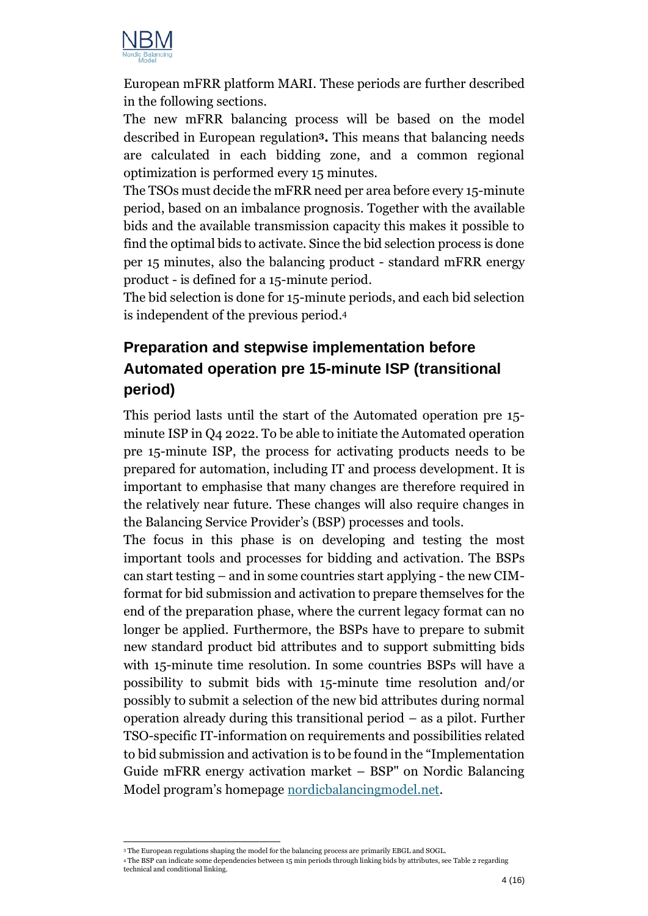

European mFRR platform MARI. These periods are further described in the following sections.

The new mFRR balancing process will be based on the model described in European regulation**3.** This means that balancing needs are calculated in each bidding zone, and a common regional optimization is performed every 15 minutes.

The TSOs must decide the mFRR need per area before every 15-minute period, based on an imbalance prognosis. Together with the available bids and the available transmission capacity this makes it possible to find the optimal bids to activate. Since the bid selection process is done per 15 minutes, also the balancing product - standard mFRR energy product - is defined for a 15-minute period.

The bid selection is done for 15-minute periods, and each bid selection is independent of the previous period.<sup>4</sup>

# **Preparation and stepwise implementation before Automated operation pre 15-minute ISP (transitional period)**

This period lasts until the start of the Automated operation pre 15 minute ISP in Q4 2022. To be able to initiate the Automated operation pre 15-minute ISP, the process for activating products needs to be prepared for automation, including IT and process development. It is important to emphasise that many changes are therefore required in the relatively near future. These changes will also require changes in the Balancing Service Provider's (BSP) processes and tools.

The focus in this phase is on developing and testing the most important tools and processes for bidding and activation. The BSPs can start testing – and in some countries start applying - the new CIMformat for bid submission and activation to prepare themselves for the end of the preparation phase, where the current legacy format can no longer be applied. Furthermore, the BSPs have to prepare to submit new standard product bid attributes and to support submitting bids with 15-minute time resolution. In some countries BSPs will have a possibility to submit bids with 15-minute time resolution and/or possibly to submit a selection of the new bid attributes during normal operation already during this transitional period – as a pilot. Further TSO-specific IT-information on requirements and possibilities related to bid submission and activation is to be found in the "Implementation Guide mFRR energy activation market – BSP" on Nordic Balancing Model program's homepage [nordicbalancingmodel.](https://nordicbalancingmodel.net/)net.

<sup>&</sup>lt;sup>3</sup> The European regulations shaping the model for the balancing process are primarily EBGL and SOGL.

<sup>4</sup> The BSP can indicate some dependencies between 15 min periods through linking bids by attributes, se[e Table 2](#page-8-0) regarding technical and conditional linking.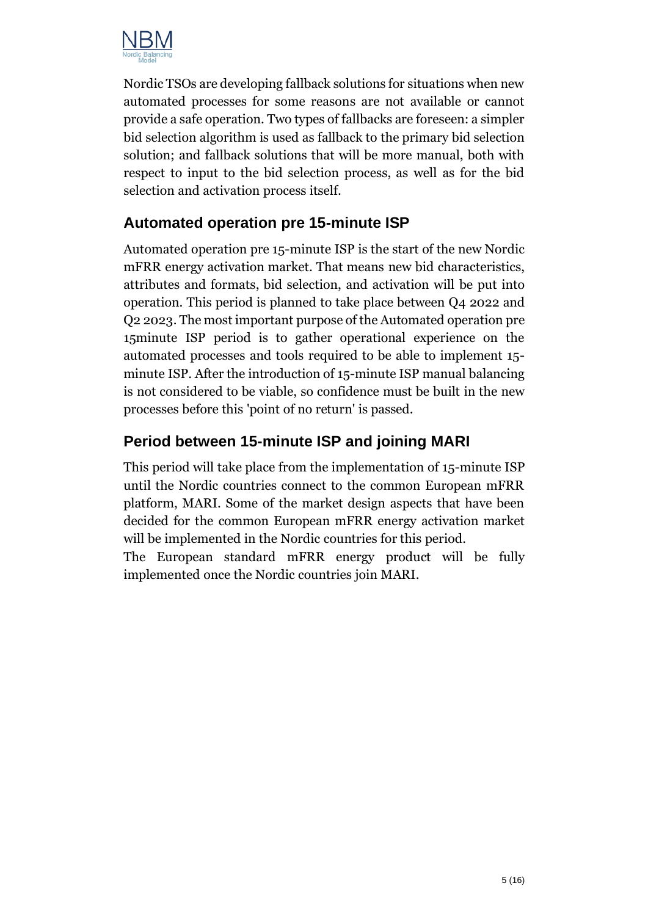

Nordic TSOs are developing fallback solutions for situations when new automated processes for some reasons are not available or cannot provide a safe operation. Two types of fallbacks are foreseen: a simpler bid selection algorithm is used as fallback to the primary bid selection solution; and fallback solutions that will be more manual, both with respect to input to the bid selection process, as well as for the bid selection and activation process itself.

## **Automated operation pre 15-minute ISP**

Automated operation pre 15-minute ISP is the start of the new Nordic mFRR energy activation market. That means new bid characteristics, attributes and formats, bid selection, and activation will be put into operation. This period is planned to take place between Q4 2022 and Q2 2023. The most important purpose of the Automated operation pre 15minute ISP period is to gather operational experience on the automated processes and tools required to be able to implement 15 minute ISP. After the introduction of 15-minute ISP manual balancing is not considered to be viable, so confidence must be built in the new processes before this 'point of no return' is passed.

## **Period between 15-minute ISP and joining MARI**

This period will take place from the implementation of 15-minute ISP until the Nordic countries connect to the common European mFRR platform, MARI. Some of the market design aspects that have been decided for the common European mFRR energy activation market will be implemented in the Nordic countries for this period.

The European standard mFRR energy product will be fully implemented once the Nordic countries join MARI.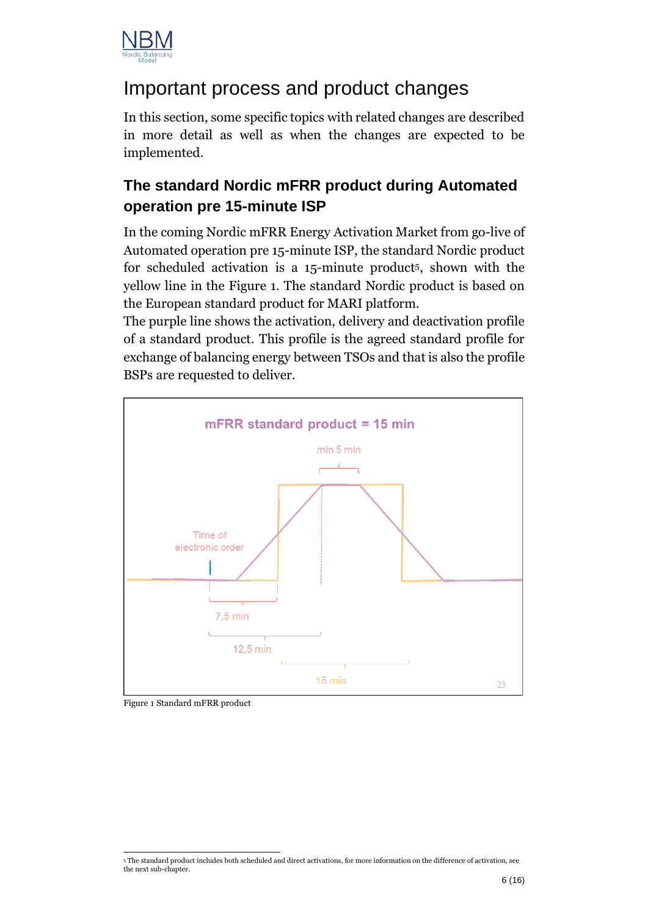

# Important process and product changes

In this section, some specific topics with related changes are described in more detail as well as when the changes are expected to be implemented.

# **The standard Nordic mFRR product during Automated operation pre 15-minute ISP**

In the coming Nordic mFRR Energy Activation Market from go-live of Automated operation pre 15-minute ISP, the standard Nordic product for scheduled activation is a 15-minute product5, shown with the yellow line in the [Figure 1.](#page-5-0) The standard Nordic product is based on the European standard product for MARI platform.

The purple line shows the activation, delivery and deactivation profile of a standard product. This profile is the agreed standard profile for exchange of balancing energy between TSOs and that is also the profile BSPs are requested to deliver.



<span id="page-5-0"></span>Figure 1 Standard mFRR product

<sup>5</sup> The standard product includes both scheduled and direct activations, for more information on the difference of activation, see the next sub-chapter.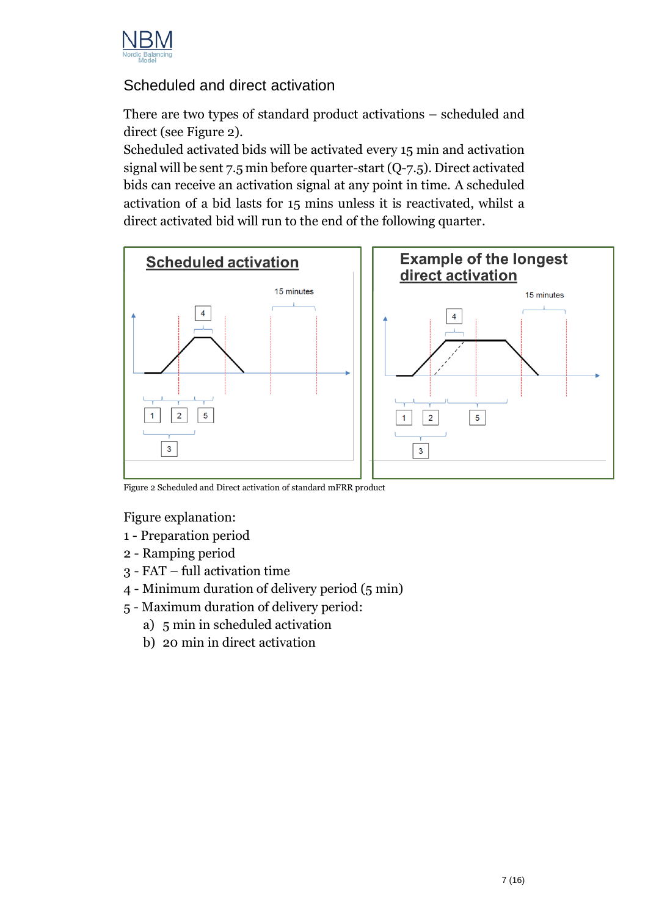

### Scheduled and direct activation

There are two types of standard product activations – scheduled and direct (see [Figure 2\)](#page-6-0).

Scheduled activated bids will be activated every 15 min and activation signal will be sent 7.5 min before quarter-start (Q-7.5). Direct activated bids can receive an activation signal at any point in time. A scheduled activation of a bid lasts for 15 mins unless it is reactivated, whilst a direct activated bid will run to the end of the following quarter.



<span id="page-6-0"></span>Figure 2 Scheduled and Direct activation of standard mFRR product

Figure explanation:

- 1 Preparation period
- 2 Ramping period
- 3 FAT full activation time
- 4 Minimum duration of delivery period (5 min)
- 5 Maximum duration of delivery period:
	- a) 5 min in scheduled activation
	- b) 20 min in direct activation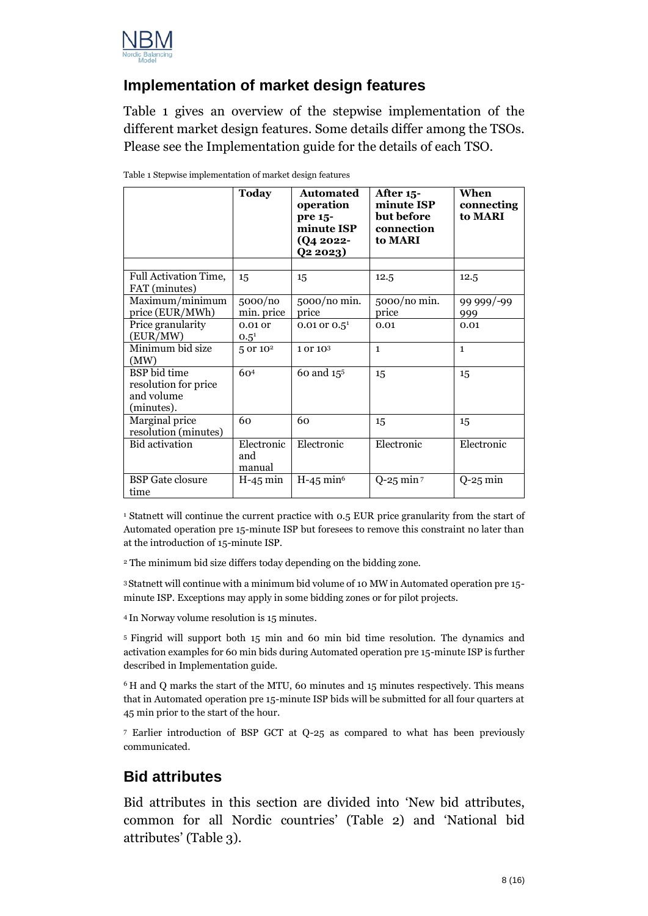

#### **Implementation of market design features**

[Table 1](#page-7-0) gives an overview of the stepwise implementation of the different market design features. Some details differ among the TSOs. Please see the Implementation guide for the details of each TSO.

|                                                                  | <b>Today</b>                | Automated<br>operation<br>pre 15-<br>minute ISP<br>(Q4 2022-<br>Q2 2023 | After 15-<br>minute ISP<br>but before<br>connection<br>to MARI | When<br>connecting<br>to MARI |
|------------------------------------------------------------------|-----------------------------|-------------------------------------------------------------------------|----------------------------------------------------------------|-------------------------------|
|                                                                  |                             |                                                                         |                                                                |                               |
| Full Activation Time,<br>FAT (minutes)                           | 15                          | 15                                                                      | 12.5                                                           | 12.5                          |
| Maximum/minimum<br>price (EUR/MWh)                               | 5000/no<br>min. price       | 5000/no min.<br>price                                                   | 5000/no min.<br>price                                          | 99 999/-99<br>999             |
| Price granularity<br>(EUR/MW)                                    | $0.01$ or<br>$0.5^{1}$      | 0.01 or $0.5^1$                                                         | 0.01                                                           | 0.01                          |
| Minimum bid size<br>(MW)                                         | 5 or 10 <sup>2</sup>        | 1 or 103                                                                | $\mathbf{1}$                                                   | $\mathbf{1}$                  |
| BSP bid time<br>resolution for price<br>and volume<br>(minutes). | 60 <sup>4</sup>             | 60 and 15 <sup>5</sup>                                                  | 15                                                             | 15                            |
| Marginal price<br>resolution (minutes)                           | 60                          | 60                                                                      | 15                                                             | 15                            |
| <b>Bid</b> activation                                            | Electronic<br>and<br>manual | Electronic                                                              | Electronic                                                     | Electronic                    |
| <b>BSP</b> Gate closure<br>time                                  | $H-45$ min                  | $H-45$ min <sup>6</sup>                                                 | $Q-25$ min $7$                                                 | $Q-25$ min                    |

<span id="page-7-0"></span>Table 1 Stepwise implementation of market design features

<sup>1</sup> Statnett will continue the current practice with 0.5 EUR price granularity from the start of Automated operation pre 15-minute ISP but foresees to remove this constraint no later than at the introduction of 15-minute ISP.

<sup>2</sup> The minimum bid size differs today depending on the bidding zone.

<sup>3</sup>Statnett will continue with a minimum bid volume of 10 MW in Automated operation pre 15 minute ISP. Exceptions may apply in some bidding zones or for pilot projects.

<sup>4</sup> In Norway volume resolution is 15 minutes.

<sup>5</sup> Fingrid will support both 15 min and 60 min bid time resolution. The dynamics and activation examples for 60 min bids during Automated operation pre 15-minute ISP is further described in Implementation guide.

<sup>6</sup> H and Q marks the start of the MTU, 60 minutes and 15 minutes respectively. This means that in Automated operation pre 15-minute ISP bids will be submitted for all four quarters at 45 min prior to the start of the hour.

<sup>7</sup> Earlier introduction of BSP GCT at Q-25 as compared to what has been previously communicated.

#### **Bid attributes**

Bid attributes in this section are divided into 'New bid attributes, common for all Nordic countries' [\(Table 2\)](#page-8-0) and 'National bid attributes' [\(Table 3\)](#page-9-0).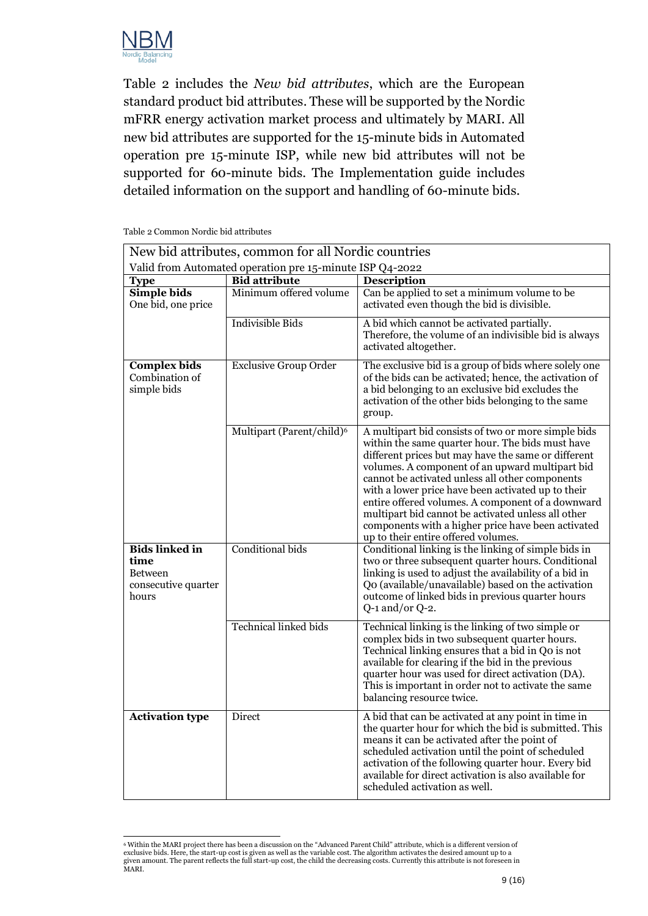

[Table 2](#page-8-0) includes the *New bid attributes*, which are the European standard product bid attributes. These will be supported by the Nordic mFRR energy activation market process and ultimately by MARI. All new bid attributes are supported for the 15-minute bids in Automated operation pre 15-minute ISP, while new bid attributes will not be supported for 60-minute bids. The Implementation guide includes detailed information on the support and handling of 60-minute bids.

| New bid attributes, common for all Nordic countries                             |                                       |                                                                                                                                                                                                                                                                                                                                                                                                                                                                                                                                    |  |  |  |  |
|---------------------------------------------------------------------------------|---------------------------------------|------------------------------------------------------------------------------------------------------------------------------------------------------------------------------------------------------------------------------------------------------------------------------------------------------------------------------------------------------------------------------------------------------------------------------------------------------------------------------------------------------------------------------------|--|--|--|--|
| Valid from Automated operation pre 15-minute ISP Q4-2022                        |                                       |                                                                                                                                                                                                                                                                                                                                                                                                                                                                                                                                    |  |  |  |  |
| <b>Type</b>                                                                     | <b>Bid attribute</b>                  | <b>Description</b>                                                                                                                                                                                                                                                                                                                                                                                                                                                                                                                 |  |  |  |  |
| Simple bids<br>One bid, one price                                               | Minimum offered volume                | Can be applied to set a minimum volume to be<br>activated even though the bid is divisible.                                                                                                                                                                                                                                                                                                                                                                                                                                        |  |  |  |  |
|                                                                                 | <b>Indivisible Bids</b>               | A bid which cannot be activated partially.<br>Therefore, the volume of an indivisible bid is always<br>activated altogether.                                                                                                                                                                                                                                                                                                                                                                                                       |  |  |  |  |
| <b>Complex bids</b><br>Combination of<br>simple bids                            | <b>Exclusive Group Order</b>          | The exclusive bid is a group of bids where solely one<br>of the bids can be activated; hence, the activation of<br>a bid belonging to an exclusive bid excludes the<br>activation of the other bids belonging to the same<br>group.                                                                                                                                                                                                                                                                                                |  |  |  |  |
|                                                                                 | Multipart (Parent/child) <sup>6</sup> | A multipart bid consists of two or more simple bids<br>within the same quarter hour. The bids must have<br>different prices but may have the same or different<br>volumes. A component of an upward multipart bid<br>cannot be activated unless all other components<br>with a lower price have been activated up to their<br>entire offered volumes. A component of a downward<br>multipart bid cannot be activated unless all other<br>components with a higher price have been activated<br>up to their entire offered volumes. |  |  |  |  |
| <b>Bids linked in</b><br>time<br><b>Between</b><br>consecutive quarter<br>hours | Conditional bids                      | Conditional linking is the linking of simple bids in<br>two or three subsequent quarter hours. Conditional<br>linking is used to adjust the availability of a bid in<br>Qo (available/unavailable) based on the activation<br>outcome of linked bids in previous quarter hours<br>$Q$ -1 and/or $Q$ -2.                                                                                                                                                                                                                            |  |  |  |  |
|                                                                                 | <b>Technical linked bids</b>          | Technical linking is the linking of two simple or<br>complex bids in two subsequent quarter hours.<br>Technical linking ensures that a bid in Qo is not<br>available for clearing if the bid in the previous<br>quarter hour was used for direct activation (DA).<br>This is important in order not to activate the same<br>balancing resource twice.                                                                                                                                                                              |  |  |  |  |
| <b>Activation type</b>                                                          | Direct                                | A bid that can be activated at any point in time in<br>the quarter hour for which the bid is submitted. This<br>means it can be activated after the point of<br>scheduled activation until the point of scheduled<br>activation of the following quarter hour. Every bid<br>available for direct activation is also available for<br>scheduled activation as well.                                                                                                                                                                 |  |  |  |  |

<span id="page-8-0"></span>Table 2 Common Nordic bid attributes

<sup>6</sup> Within the MARI project there has been a discussion on the "Advanced Parent Child" attribute, which is a different version of exclusive bids. Here, the start-up cost is given as well as the variable cost. The algorithm activates the desired amount up to a<br>given amount. The parent reflects the full start-up cost, the child the decreasing costs. Cu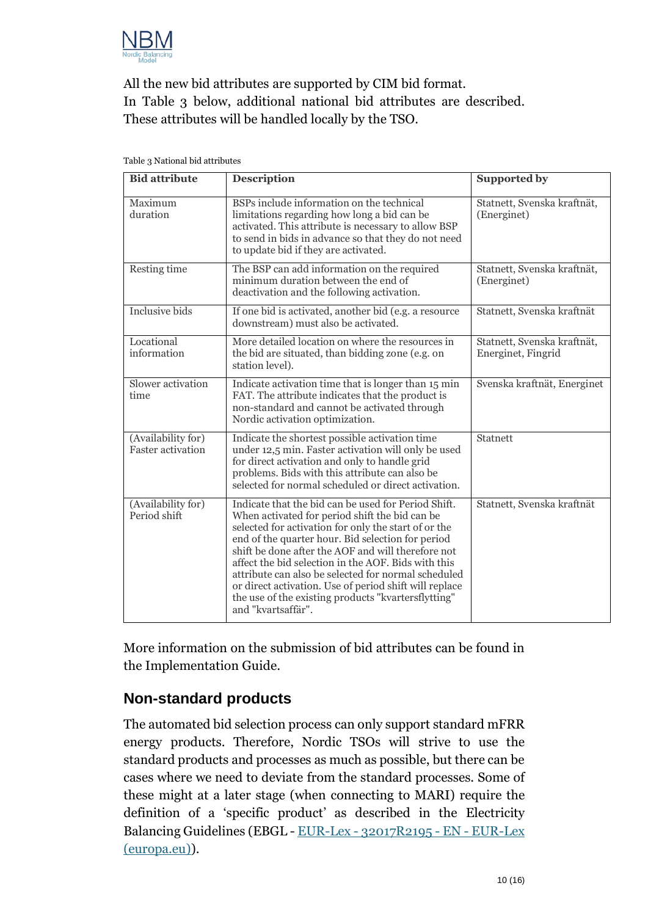

All the new bid attributes are supported by CIM bid format. In [Table 3](#page-9-0) below, additional national bid attributes are described. These attributes will be handled locally by the TSO.

| <b>Bid attribute</b>                           | <b>Description</b>                                                                                                                                                                                                                                                                                                                                                                                                                                                                                                            | <b>Supported by</b>                               |
|------------------------------------------------|-------------------------------------------------------------------------------------------------------------------------------------------------------------------------------------------------------------------------------------------------------------------------------------------------------------------------------------------------------------------------------------------------------------------------------------------------------------------------------------------------------------------------------|---------------------------------------------------|
| Maximum<br>duration                            | BSPs include information on the technical<br>limitations regarding how long a bid can be<br>activated. This attribute is necessary to allow BSP<br>to send in bids in advance so that they do not need<br>to update bid if they are activated.                                                                                                                                                                                                                                                                                | Statnett, Svenska kraftnät,<br>(Energinet)        |
| Resting time                                   | The BSP can add information on the required<br>minimum duration between the end of<br>deactivation and the following activation.                                                                                                                                                                                                                                                                                                                                                                                              | Statnett, Svenska kraftnät,<br>(Energinet)        |
| <b>Inclusive bids</b>                          | If one bid is activated, another bid (e.g. a resource<br>downstream) must also be activated.                                                                                                                                                                                                                                                                                                                                                                                                                                  | Statnett, Svenska kraftnät                        |
| Locational<br>information                      | More detailed location on where the resources in<br>the bid are situated, than bidding zone (e.g. on<br>station level).                                                                                                                                                                                                                                                                                                                                                                                                       | Statnett, Svenska kraftnät,<br>Energinet, Fingrid |
| Slower activation<br>time                      | Indicate activation time that is longer than 15 min<br>FAT. The attribute indicates that the product is<br>non-standard and cannot be activated through<br>Nordic activation optimization.                                                                                                                                                                                                                                                                                                                                    | Svenska kraftnät, Energinet                       |
| (Availability for)<br><b>Faster activation</b> | Indicate the shortest possible activation time<br>under 12,5 min. Faster activation will only be used<br>for direct activation and only to handle grid<br>problems. Bids with this attribute can also be<br>selected for normal scheduled or direct activation.                                                                                                                                                                                                                                                               | Statnett                                          |
| (Availability for)<br>Period shift             | Indicate that the bid can be used for Period Shift.<br>When activated for period shift the bid can be<br>selected for activation for only the start of or the<br>end of the quarter hour. Bid selection for period<br>shift be done after the AOF and will therefore not<br>affect the bid selection in the AOF. Bids with this<br>attribute can also be selected for normal scheduled<br>or direct activation. Use of period shift will replace<br>the use of the existing products "kvartersflytting"<br>and "kvartsaffär". | Statnett, Svenska kraftnät                        |

<span id="page-9-0"></span>Table 3 National bid attributes

More information on the submission of bid attributes can be found in the Implementation Guide.

#### **Non-standard products**

The automated bid selection process can only support standard mFRR energy products. Therefore, Nordic TSOs will strive to use the standard products and processes as much as possible, but there can be cases where we need to deviate from the standard processes. Some of these might at a later stage (when connecting to MARI) require the definition of a 'specific product' as described in the Electricity Balancing Guidelines [\(EBGL](https://eur-lex.europa.eu/legal-content/EN/ALL/?uri=CELEX%3A32017R2195) - EUR-Lex - [32017R2195 -](https://eur-lex.europa.eu/eli/reg/2017/2195/oj) EN - EUR-Lex [\(europa.eu\)\)](https://eur-lex.europa.eu/eli/reg/2017/2195/oj).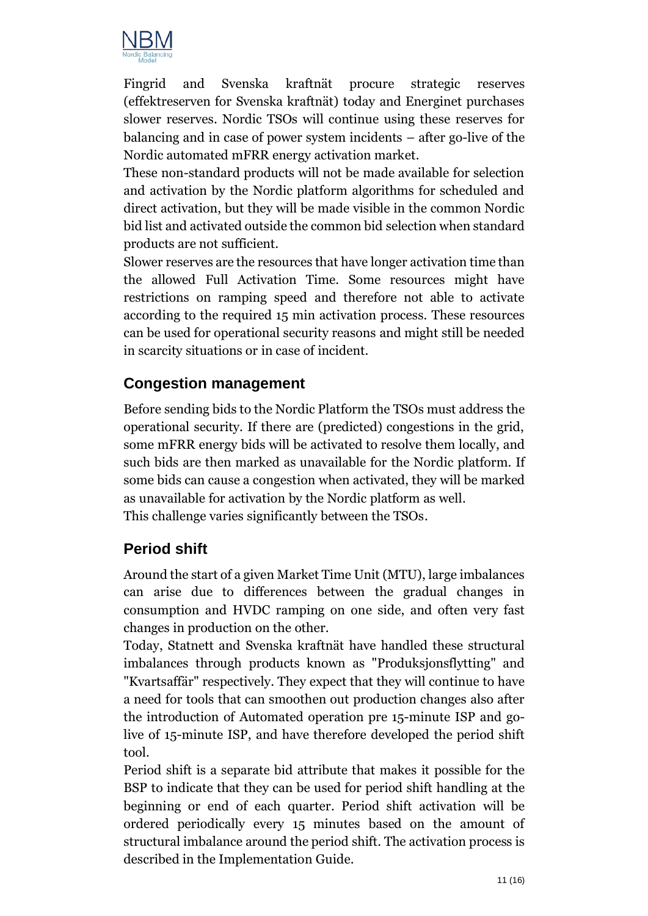

Fingrid and Svenska kraftnät procure strategic reserves (effektreserven for Svenska kraftnät) today and Energinet purchases slower reserves. Nordic TSOs will continue using these reserves for balancing and in case of power system incidents – after go-live of the Nordic automated mFRR energy activation market.

These non-standard products will not be made available for selection and activation by the Nordic platform algorithms for scheduled and direct activation, but they will be made visible in the common Nordic bid list and activated outside the common bid selection when standard products are not sufficient.

Slower reserves are the resources that have longer activation time than the allowed Full Activation Time. Some resources might have restrictions on ramping speed and therefore not able to activate according to the required 15 min activation process. These resources can be used for operational security reasons and might still be needed in scarcity situations or in case of incident.

#### **Congestion management**

Before sending bids to the Nordic Platform the TSOs must address the operational security. If there are (predicted) congestions in the grid, some mFRR energy bids will be activated to resolve them locally, and such bids are then marked as unavailable for the Nordic platform. If some bids can cause a congestion when activated, they will be marked as unavailable for activation by the Nordic platform as well. This challenge varies significantly between the TSOs.

#### **Period shift**

Around the start of a given Market Time Unit (MTU), large imbalances can arise due to differences between the gradual changes in consumption and HVDC ramping on one side, and often very fast changes in production on the other.

Today, Statnett and Svenska kraftnät have handled these structural imbalances through products known as "Produksjonsflytting" and "Kvartsaffär" respectively. They expect that they will continue to have a need for tools that can smoothen out production changes also after the introduction of Automated operation pre 15-minute ISP and golive of 15-minute ISP, and have therefore developed the period shift tool.

Period shift is a separate bid attribute that makes it possible for the BSP to indicate that they can be used for period shift handling at the beginning or end of each quarter. Period shift activation will be ordered periodically every 15 minutes based on the amount of structural imbalance around the period shift. The activation process is described in the Implementation Guide.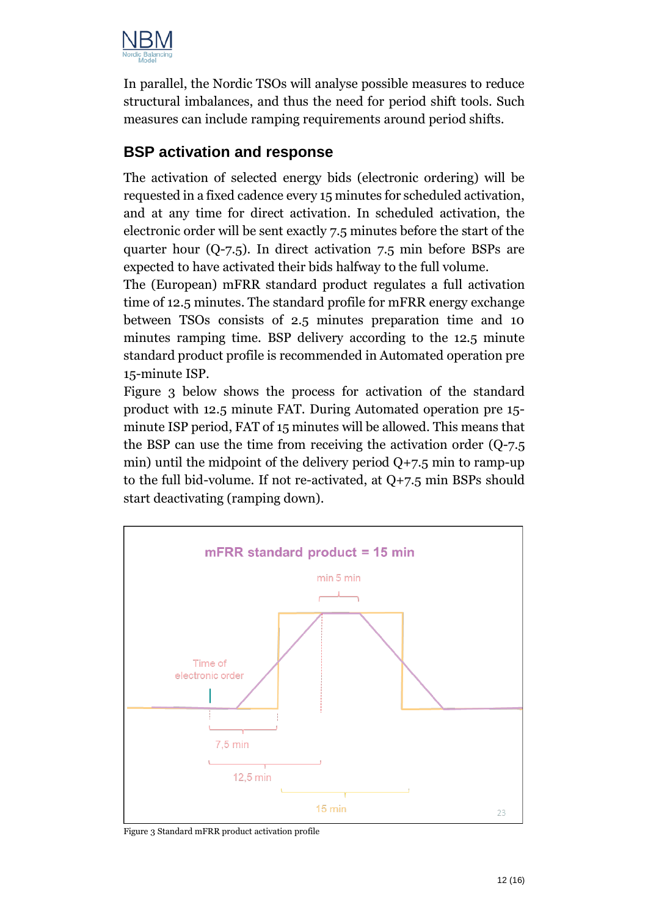

In parallel, the Nordic TSOs will analyse possible measures to reduce structural imbalances, and thus the need for period shift tools. Such measures can include ramping requirements around period shifts.

#### **BSP activation and response**

The activation of selected energy bids (electronic ordering) will be requested in a fixed cadence every 15 minutes for scheduled activation, and at any time for direct activation. In scheduled activation, the electronic order will be sent exactly 7.5 minutes before the start of the quarter hour (Q-7.5). In direct activation 7.5 min before BSPs are expected to have activated their bids halfway to the full volume.

The (European) mFRR standard product regulates a full activation time of 12.5 minutes. The standard profile for mFRR energy exchange between TSOs consists of 2.5 minutes preparation time and 10 minutes ramping time. BSP delivery according to the 12.5 minute standard product profile is recommended in Automated operation pre 15-minute ISP.

[Figure 3](#page-11-0) below shows the process for activation of the standard product with 12.5 minute FAT. During Automated operation pre 15 minute ISP period, FAT of 15 minutes will be allowed. This means that the BSP can use the time from receiving the activation order (Q-7.5 min) until the midpoint of the delivery period  $Q+7.5$  min to ramp-up to the full bid-volume. If not re-activated, at Q+7.5 min BSPs should start deactivating (ramping down).



<span id="page-11-0"></span>Figure 3 Standard mFRR product activation profile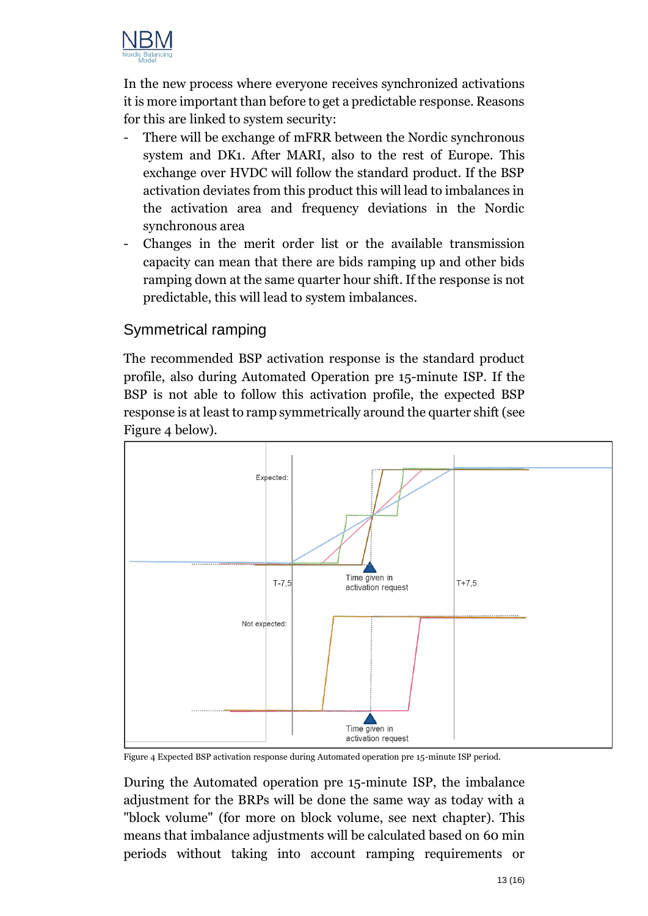

In the new process where everyone receives synchronized activations it is more important than before to get a predictable response. Reasons for this are linked to system security:

- There will be exchange of mFRR between the Nordic synchronous system and DK1. After MARI, also to the rest of Europe. This exchange over HVDC will follow the standard product. If the BSP activation deviates from this product this will lead to imbalances in the activation area and frequency deviations in the Nordic synchronous area
- Changes in the merit order list or the available transmission capacity can mean that there are bids ramping up and other bids ramping down at the same quarter hour shift. If the response is not predictable, this will lead to system imbalances.

#### Symmetrical ramping

The recommended BSP activation response is the standard product profile, also during Automated Operation pre 15-minute ISP. If the BSP is not able to follow this activation profile, the expected BSP response is at least to ramp symmetrically around the quarter shift (see [Figure 4](#page-12-0) below).



<span id="page-12-0"></span>Figure 4 Expected BSP activation response during Automated operation pre 15-minute ISP period.

During the Automated operation pre 15-minute ISP, the imbalance adjustment for the BRPs will be done the same way as today with a "block volume" (for more on block volume, see next chapter). This means that imbalance adjustments will be calculated based on 60 min periods without taking into account ramping requirements or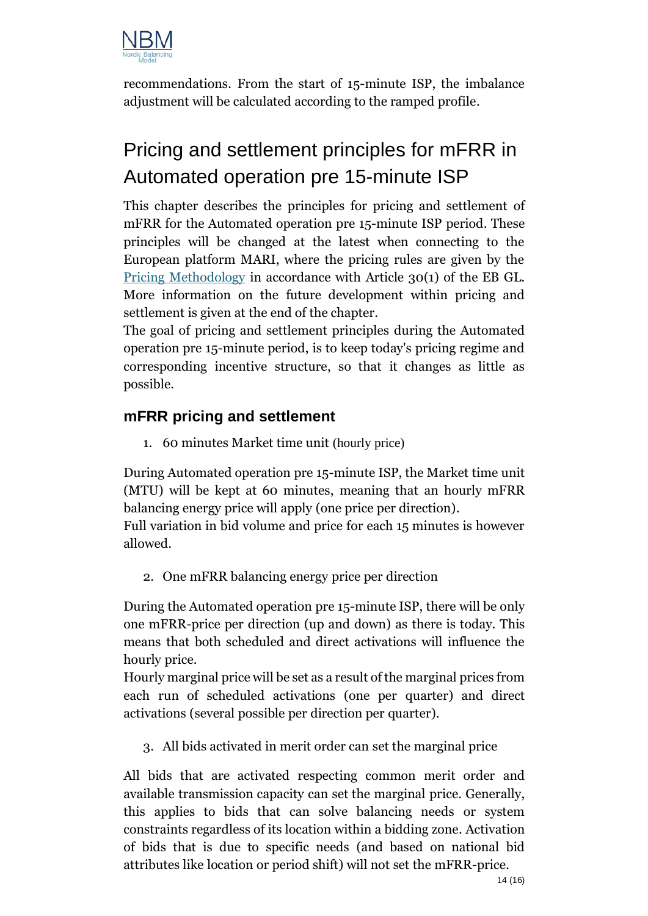

recommendations. From the start of 15-minute ISP, the imbalance adjustment will be calculated according to the ramped profile.

# Pricing and settlement principles for mFRR in Automated operation pre 15-minute ISP

This chapter describes the principles for pricing and settlement of mFRR for the Automated operation pre 15-minute ISP period. These principles will be changed at the latest when connecting to the European platform MARI, where the pricing rules are given by the [Pricing Methodology](https://acer.europa.eu/en/Electricity/MARKET-CODES/ELECTRICITY-BALANCING/07%20Pricing/Action%203%20-%20Pricing%20ACER%20decision%20annex%20I.pdf) in accordance with Article 30(1) of the EB GL. More information on the future development within pricing and settlement is given at the end of the chapter.

The goal of pricing and settlement principles during the Automated operation pre 15-minute period, is to keep today's pricing regime and corresponding incentive structure, so that it changes as little as possible.

### **mFRR pricing and settlement**

1. 60 minutes Market time unit (hourly price)

During Automated operation pre 15-minute ISP, the Market time unit (MTU) will be kept at 60 minutes, meaning that an hourly mFRR balancing energy price will apply (one price per direction).

Full variation in bid volume and price for each 15 minutes is however allowed.

2. One mFRR balancing energy price per direction

During the Automated operation pre 15-minute ISP, there will be only one mFRR-price per direction (up and down) as there is today. This means that both scheduled and direct activations will influence the hourly price.

Hourly marginal price will be set as a result of the marginal prices from each run of scheduled activations (one per quarter) and direct activations (several possible per direction per quarter).

3. All bids activated in merit order can set the marginal price

All bids that are activated respecting common merit order and available transmission capacity can set the marginal price. Generally, this applies to bids that can solve balancing needs or system constraints regardless of its location within a bidding zone. Activation of bids that is due to specific needs (and based on national bid attributes like location or period shift) will not set the mFRR-price.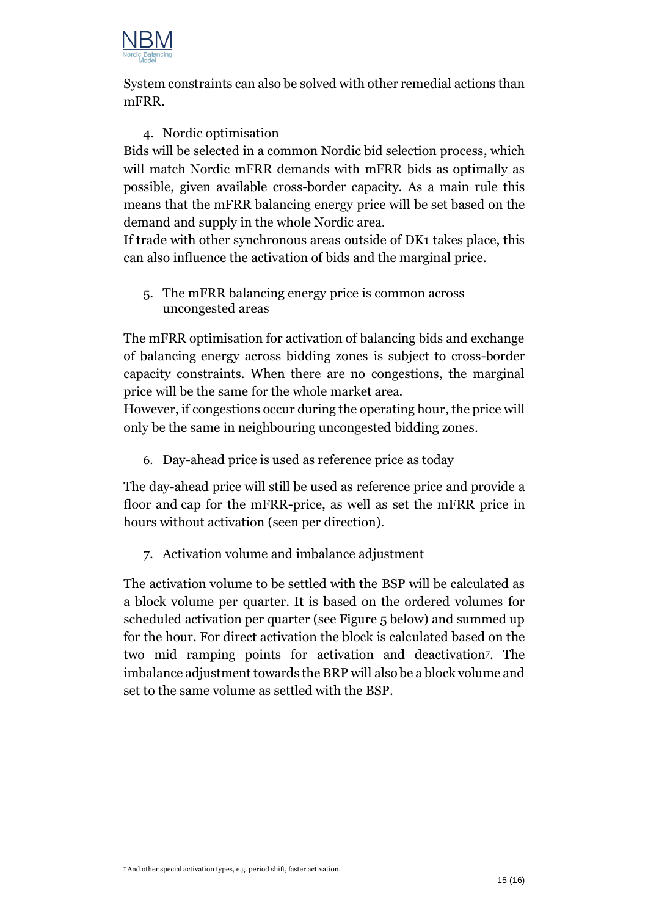

System constraints can also be solved with other remedial actions than mFRR.

#### 4. Nordic optimisation

Bids will be selected in a common Nordic bid selection process, which will match Nordic mFRR demands with mFRR bids as optimally as possible, given available cross-border capacity. As a main rule this means that the mFRR balancing energy price will be set based on the demand and supply in the whole Nordic area.

If trade with other synchronous areas outside of DK1 takes place, this can also influence the activation of bids and the marginal price.

5. The mFRR balancing energy price is common across uncongested areas

The mFRR optimisation for activation of balancing bids and exchange of balancing energy across bidding zones is subject to cross-border capacity constraints. When there are no congestions, the marginal price will be the same for the whole market area.

However, if congestions occur during the operating hour, the price will only be the same in neighbouring uncongested bidding zones.

6. Day-ahead price is used as reference price as today

The day-ahead price will still be used as reference price and provide a floor and cap for the mFRR-price, as well as set the mFRR price in hours without activation (seen per direction).

7. Activation volume and imbalance adjustment

The activation volume to be settled with the BSP will be calculated as a block volume per quarter. It is based on the ordered volumes for scheduled activation per quarter (se[e Figure 5](#page-15-0) below) and summed up for the hour. For direct activation the block is calculated based on the two mid ramping points for activation and deactivation7. The imbalance adjustment towards the BRP will also be a block volume and set to the same volume as settled with the BSP.

<sup>7</sup> And other special activation types, e.g. period shift, faster activation.